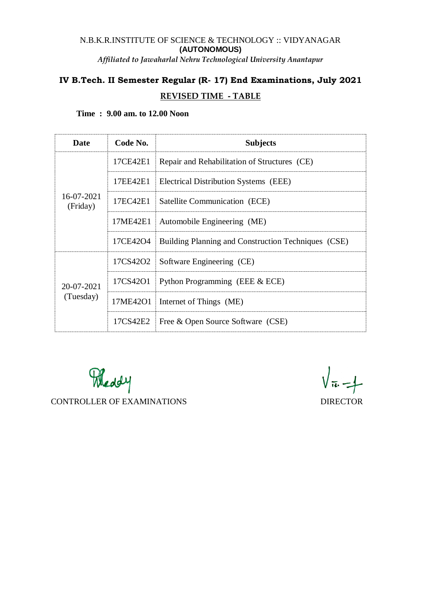# N.B.K.R.INSTITUTE OF SCIENCE & TECHNOLOGY :: VIDYANAGAR **(AUTONOMOUS)**

*Affiliated to Jawaharlal Nehru Technological University Anantapur*

# **IV B.Tech. II Semester Regular (R- 17) End Examinations, July 2021 REVISED TIME - TABLE**

| Time: 9.00 am. to 12.00 Noon |  |  |  |
|------------------------------|--|--|--|
|------------------------------|--|--|--|

| Date                    | Code No. | <b>Subjects</b>                                                |  |
|-------------------------|----------|----------------------------------------------------------------|--|
| 16-07-2021<br>(Friday)  | 17CE42E1 | Repair and Rehabilitation of Structures (CE)                   |  |
|                         | 17EE42E1 | Electrical Distribution Systems (EEE)                          |  |
|                         |          | 17EC42E1   Satellite Communication (ECE)                       |  |
|                         | 17ME42E1 | Automobile Engineering (ME)                                    |  |
|                         |          | 17CE42O4   Building Planning and Construction Techniques (CSE) |  |
| 20-07-2021<br>(Tuesday) |          | 17CS42O2   Software Engineering (CE)                           |  |
|                         |          | 17CS42O1 Python Programming (EEE & ECE)                        |  |
|                         |          | 17ME42O1   Internet of Things (ME)                             |  |
|                         |          | 17CS42E2   Free & Open Source Software (CSE)                   |  |

Meddy CONTROLLER OF EXAMINATIONS DIRECTOR

 $\sqrt{\pi} - 1$